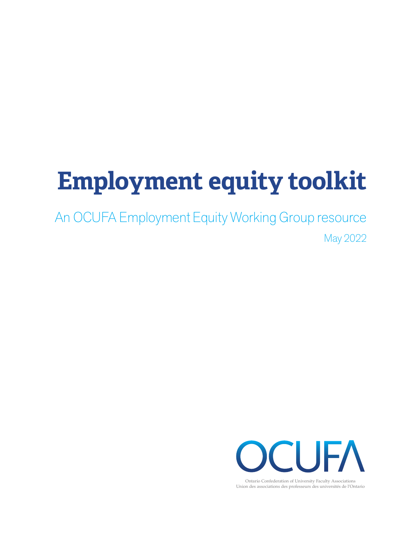# **Employment equity toolkit**

An OCUFA Employment Equity Working Group resource May 2022



Ontario Confederation of University Faculty Associations Union des associations des professeurs des universités de l'Ontario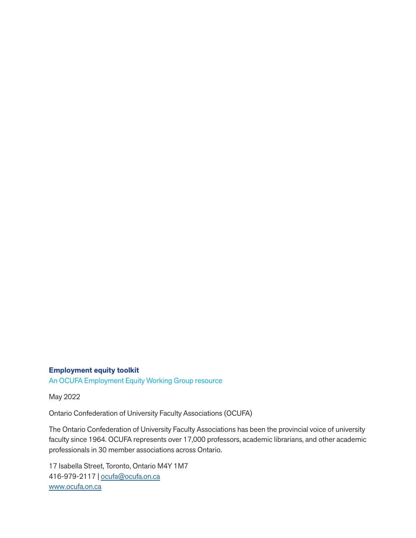#### **Employment equity toolkit**

An OCUFA Employment Equity Working Group resource

May 2022

Ontario Confederation of University Faculty Associations (OCUFA)

The Ontario Confederation of University Faculty Associations has been the provincial voice of university faculty since 1964. OCUFA represents over 17,000 professors, academic librarians, and other academic professionals in 30 member associations across Ontario.

17 Isabella Street, Toronto, Ontario M4Y 1M7 416-979-2117 | ocufa@ocufa.on.ca www.ocufa.on.ca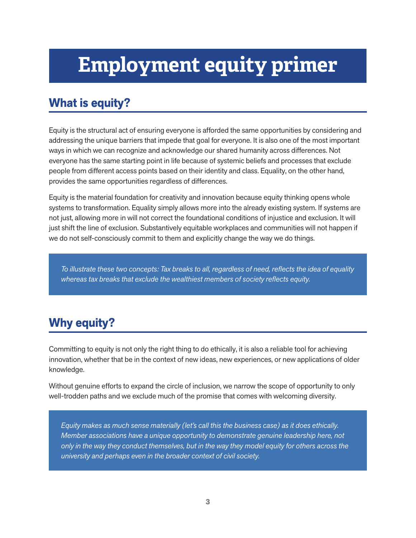## **Employment equity primer**

## **What is equity?**

Equity is the structural act of ensuring everyone is afforded the same opportunities by considering and addressing the unique barriers that impede that goal for everyone. It is also one of the most important ways in which we can recognize and acknowledge our shared humanity across differences. Not everyone has the same starting point in life because of systemic beliefs and processes that exclude people from different access points based on their identity and class. Equality, on the other hand, provides the same opportunities regardless of differences.

Equity is the material foundation for creativity and innovation because equity thinking opens whole systems to transformation. Equality simply allows more into the already existing system. If systems are not just, allowing more in will not correct the foundational conditions of injustice and exclusion. It will just shift the line of exclusion. Substantively equitable workplaces and communities will not happen if we do not self-consciously commit to them and explicitly change the way we do things.

*To illustrate these two concepts: Tax breaks to all, regardless of need, reflects the idea of equality whereas tax breaks that exclude the wealthiest members of society reflects equity.* 

## **Why equity?**

Committing to equity is not only the right thing to do ethically, it is also a reliable tool for achieving innovation, whether that be in the context of new ideas, new experiences, or new applications of older knowledge.

Without genuine efforts to expand the circle of inclusion, we narrow the scope of opportunity to only well-trodden paths and we exclude much of the promise that comes with welcoming diversity.

*Equity makes as much sense materially (let's call this the business case) as it does ethically. Member associations have a unique opportunity to demonstrate genuine leadership here, not only in the way they conduct themselves, but in the way they model equity for others across the university and perhaps even in the broader context of civil society.*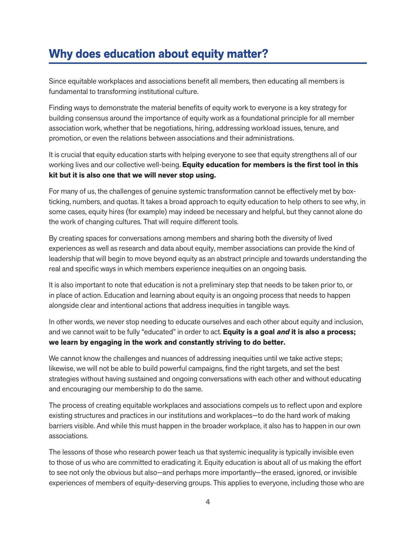## **Why does education about equity matter?**

Since equitable workplaces and associations benefit all members, then educating all members is fundamental to transforming institutional culture.

Finding ways to demonstrate the material benefits of equity work to everyone is a key strategy for building consensus around the importance of equity work as a foundational principle for all member association work, whether that be negotiations, hiring, addressing workload issues, tenure, and promotion, or even the relations between associations and their administrations.

It is crucial that equity education starts with helping everyone to see that equity strengthens all of our working lives and our collective well-being. **Equity education for members is the first tool in this kit but it is also one that we will never stop using.** 

For many of us, the challenges of genuine systemic transformation cannot be effectively met by boxticking, numbers, and quotas. It takes a broad approach to equity education to help others to see why, in some cases, equity hires (for example) may indeed be necessary and helpful, but they cannot alone do the work of changing cultures. That will require different tools.

By creating spaces for conversations among members and sharing both the diversity of lived experiences as well as research and data about equity, member associations can provide the kind of leadership that will begin to move beyond equity as an abstract principle and towards understanding the real and specific ways in which members experience inequities on an ongoing basis.

It is also important to note that education is not a preliminary step that needs to be taken prior to, or in place of action. Education and learning about equity is an ongoing process that needs to happen alongside clear and intentional actions that address inequities in tangible ways.

In other words, we never stop needing to educate ourselves and each other about equity and inclusion, and we cannot wait to be fully "educated" in order to act. **Equity is a goal** *and* **it is also a process; we learn by engaging in the work and constantly striving to do better.**

We cannot know the challenges and nuances of addressing inequities until we take active steps; likewise, we will not be able to build powerful campaigns, find the right targets, and set the best strategies without having sustained and ongoing conversations with each other and without educating and encouraging our membership to do the same.

The process of creating equitable workplaces and associations compels us to reflect upon and explore existing structures and practices in our institutions and workplaces—to do the hard work of making barriers visible. And while this must happen in the broader workplace, it also has to happen in our own associations.

The lessons of those who research power teach us that systemic inequality is typically invisible even to those of us who are committed to eradicating it. Equity education is about all of us making the effort to see not only the obvious but also—and perhaps more importantly—the erased, ignored, or invisible experiences of members of equity-deserving groups. This applies to everyone, including those who are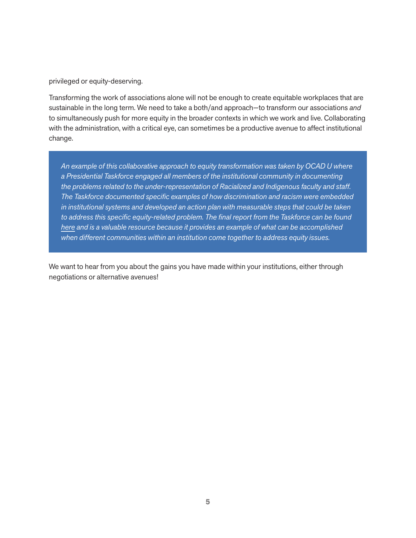privileged or equity-deserving.

Transforming the work of associations alone will not be enough to create equitable workplaces that are sustainable in the long term. We need to take a both/and approach—to transform our associations *and* to simultaneously push for more equity in the broader contexts in which we work and live. Collaborating with the administration, with a critical eye, can sometimes be a productive avenue to affect institutional change.

*An example of this collaborative approach to equity transformation was taken by OCAD U where a Presidential Taskforce engaged all members of the institutional community in documenting the problems related to the under-representation of Racialized and Indigenous faculty and staff. The Taskforce documented specific examples of how discrimination and racism were embedded in institutional systems and developed an action plan with measurable steps that could be taken to address this specific equity-related problem. The final report from the Taskforce can be found here and is a valuable resource because it provides an example of what can be accomplished when different communities within an institution come together to address equity issues.* 

We want to hear from you about the gains you have made within your institutions, either through negotiations or alternative avenues!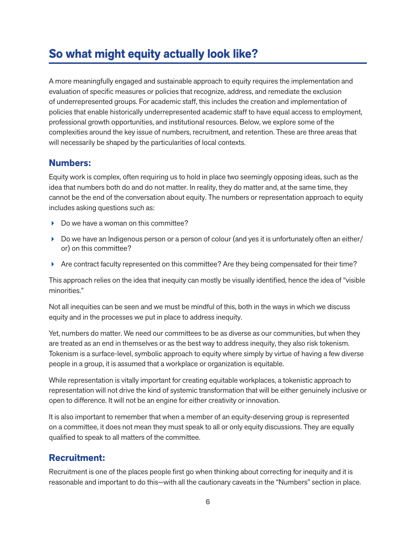## **So what might equity actually look like?**

A more meaningfully engaged and sustainable approach to equity requires the implementation and evaluation of specific measures or policies that recognize, address, and remediate the exclusion of underrepresented groups. For academic staff, this includes the creation and implementation of policies that enable historically underrepresented academic staff to have equal access to employment, professional growth opportunities, and institutional resources. Below, we explore some of the complexities around the key issue of numbers, recruitment, and retention. These are three areas that will necessarily be shaped by the particularities of local contexts.

#### **Numbers:**

Equity work is complex, often requiring us to hold in place two seemingly opposing ideas, such as the idea that numbers both do and do not matter. In reality, they do matter and, at the same time, they cannot be the end of the conversation about equity. The numbers or representation approach to equity includes asking questions such as:

- Do we have a woman on this committee?
- Do we have an Indigenous person or a person of colour (and yes it is unfortunately often an either/ or) on this committee?
- Are contract faculty represented on this committee? Are they being compensated for their time?

This approach relies on the idea that inequity can mostly be visually identified, hence the idea of "visible minorities."

Not all inequities can be seen and we must be mindful of this, both in the ways in which we discuss equity and in the processes we put in place to address inequity.

Yet, numbers do matter. We need our committees to be as diverse as our communities, but when they are treated as an end in themselves or as the best way to address inequity, they also risk tokenism. Tokenism is a surface-level, symbolic approach to equity where simply by virtue of having a few diverse people in a group, it is assumed that a workplace or organization is equitable.

While representation is vitally important for creating equitable workplaces, a tokenistic approach to representation will not drive the kind of systemic transformation that will be either genuinely inclusive or open to difference. It will not be an engine for either creativity or innovation.

It is also important to remember that when a member of an equity-deserving group is represented on a committee, it does not mean they must speak to all or only equity discussions. They are equally qualified to speak to all matters of the committee.

## **Recruitment:**

Recruitment is one of the places people first go when thinking about correcting for inequity and it is reasonable and important to do this—with all the cautionary caveats in the "Numbers" section in place.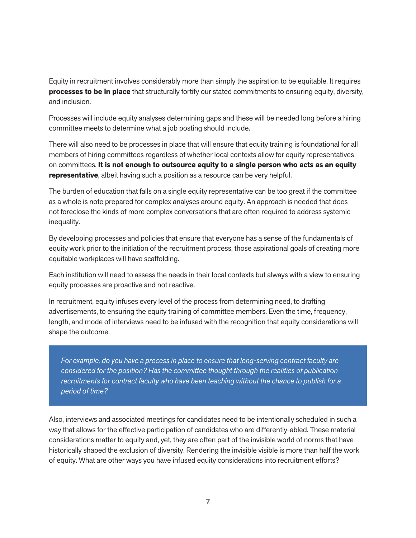Equity in recruitment involves considerably more than simply the aspiration to be equitable. It requires **processes to be in place** that structurally fortify our stated commitments to ensuring equity, diversity, and inclusion.

Processes will include equity analyses determining gaps and these will be needed long before a hiring committee meets to determine what a job posting should include.

There will also need to be processes in place that will ensure that equity training is foundational for all members of hiring committees regardless of whether local contexts allow for equity representatives on committees. **It is not enough to outsource equity to a single person who acts as an equity representative**, albeit having such a position as a resource can be very helpful.

The burden of education that falls on a single equity representative can be too great if the committee as a whole is note prepared for complex analyses around equity. An approach is needed that does not foreclose the kinds of more complex conversations that are often required to address systemic inequality.

By developing processes and policies that ensure that everyone has a sense of the fundamentals of equity work prior to the initiation of the recruitment process, those aspirational goals of creating more equitable workplaces will have scaffolding.

Each institution will need to assess the needs in their local contexts but always with a view to ensuring equity processes are proactive and not reactive.

In recruitment, equity infuses every level of the process from determining need, to drafting advertisements, to ensuring the equity training of committee members. Even the time, frequency, length, and mode of interviews need to be infused with the recognition that equity considerations will shape the outcome.

*For example, do you have a process in place to ensure that long-serving contract faculty are considered for the position? Has the committee thought through the realities of publication recruitments for contract faculty who have been teaching without the chance to publish for a period of time?* 

Also, interviews and associated meetings for candidates need to be intentionally scheduled in such a way that allows for the effective participation of candidates who are differently-abled. These material considerations matter to equity and, yet, they are often part of the invisible world of norms that have historically shaped the exclusion of diversity. Rendering the invisible visible is more than half the work of equity. What are other ways you have infused equity considerations into recruitment efforts?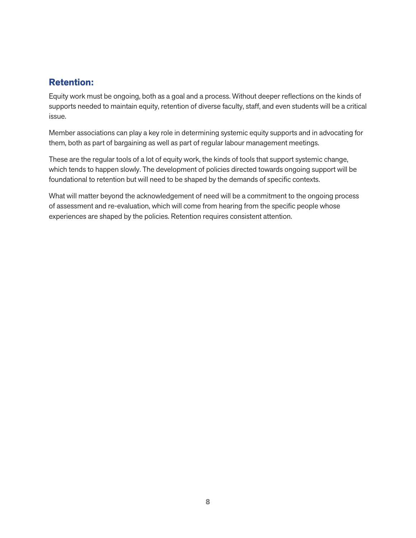## **Retention:**

Equity work must be ongoing, both as a goal and a process. Without deeper reflections on the kinds of supports needed to maintain equity, retention of diverse faculty, staff, and even students will be a critical issue.

Member associations can play a key role in determining systemic equity supports and in advocating for them, both as part of bargaining as well as part of regular labour management meetings.

These are the regular tools of a lot of equity work, the kinds of tools that support systemic change, which tends to happen slowly. The development of policies directed towards ongoing support will be foundational to retention but will need to be shaped by the demands of specific contexts.

What will matter beyond the acknowledgement of need will be a commitment to the ongoing process of assessment and re-evaluation, which will come from hearing from the specific people whose experiences are shaped by the policies. Retention requires consistent attention.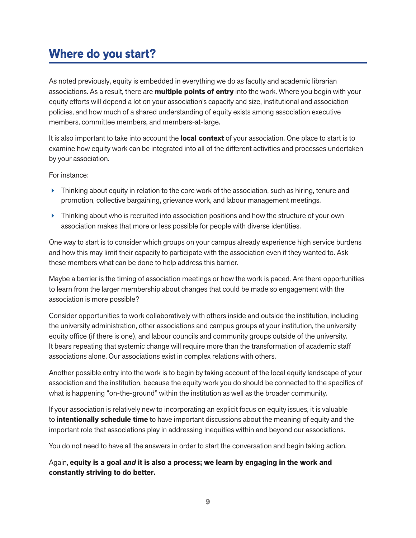## **Where do you start?**

As noted previously, equity is embedded in everything we do as faculty and academic librarian associations. As a result, there are **multiple points of entry** into the work. Where you begin with your equity efforts will depend a lot on your association's capacity and size, institutional and association policies, and how much of a shared understanding of equity exists among association executive members, committee members, and members-at-large.

It is also important to take into account the **local context** of your association. One place to start is to examine how equity work can be integrated into all of the different activities and processes undertaken by your association.

For instance:

- **Filtum** Thinking about equity in relation to the core work of the association, such as hiring, tenure and promotion, collective bargaining, grievance work, and labour management meetings.
- **Filtum** Thinking about who is recruited into association positions and how the structure of your own association makes that more or less possible for people with diverse identities.

One way to start is to consider which groups on your campus already experience high service burdens and how this may limit their capacity to participate with the association even if they wanted to. Ask these members what can be done to help address this barrier.

Maybe a barrier is the timing of association meetings or how the work is paced. Are there opportunities to learn from the larger membership about changes that could be made so engagement with the association is more possible?

Consider opportunities to work collaboratively with others inside and outside the institution, including the university administration, other associations and campus groups at your institution, the university equity office (if there is one), and labour councils and community groups outside of the university. It bears repeating that systemic change will require more than the transformation of academic staff associations alone. Our associations exist in complex relations with others.

Another possible entry into the work is to begin by taking account of the local equity landscape of your association and the institution, because the equity work you do should be connected to the specifics of what is happening "on-the-ground" within the institution as well as the broader community.

If your association is relatively new to incorporating an explicit focus on equity issues, it is valuable to **intentionally schedule time** to have important discussions about the meaning of equity and the important role that associations play in addressing inequities within and beyond our associations.

You do not need to have all the answers in order to start the conversation and begin taking action.

Again, **equity is a goal** *and* **it is also a process; we learn by engaging in the work and constantly striving to do better.**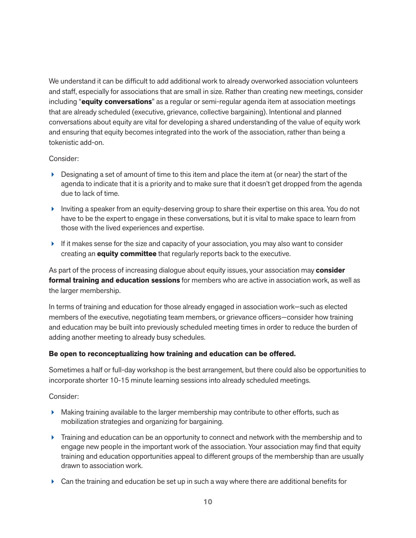We understand it can be difficult to add additional work to already overworked association volunteers and staff, especially for associations that are small in size. Rather than creating new meetings, consider including "**equity conversations**" as a regular or semi-regular agenda item at association meetings that are already scheduled (executive, grievance, collective bargaining). Intentional and planned conversations about equity are vital for developing a shared understanding of the value of equity work and ensuring that equity becomes integrated into the work of the association, rather than being a tokenistic add-on.

#### Consider:

- $\triangleright$  Designating a set of amount of time to this item and place the item at (or near) the start of the agenda to indicate that it is a priority and to make sure that it doesn't get dropped from the agenda due to lack of time.
- Inviting a speaker from an equity-deserving group to share their expertise on this area. You do not have to be the expert to engage in these conversations, but it is vital to make space to learn from those with the lived experiences and expertise.
- $\blacktriangleright$  If it makes sense for the size and capacity of your association, you may also want to consider creating an **equity committee** that regularly reports back to the executive.

As part of the process of increasing dialogue about equity issues, your association may **consider formal training and education sessions** for members who are active in association work, as well as the larger membership.

In terms of training and education for those already engaged in association work—such as elected members of the executive, negotiating team members, or grievance officers—consider how training and education may be built into previously scheduled meeting times in order to reduce the burden of adding another meeting to already busy schedules.

#### **Be open to reconceptualizing how training and education can be offered.**

Sometimes a half or full-day workshop is the best arrangement, but there could also be opportunities to incorporate shorter 10-15 minute learning sessions into already scheduled meetings.

Consider:

- $\blacktriangleright$  Making training available to the larger membership may contribute to other efforts, such as mobilization strategies and organizing for bargaining.
- Training and education can be an opportunity to connect and network with the membership and to engage new people in the important work of the association. Your association may find that equity training and education opportunities appeal to different groups of the membership than are usually drawn to association work.
- $\triangleright$  Can the training and education be set up in such a way where there are additional benefits for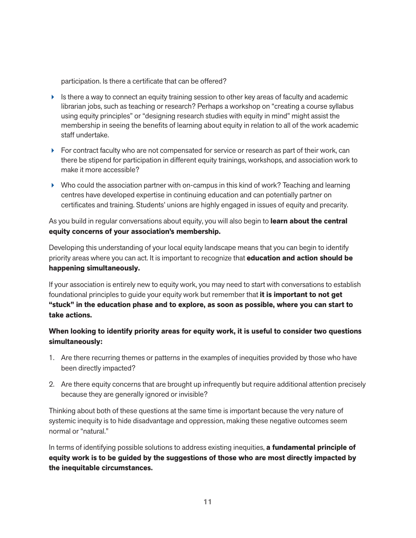participation. Is there a certificate that can be offered?

- $\blacktriangleright$  Is there a way to connect an equity training session to other key areas of faculty and academic librarian jobs, such as teaching or research? Perhaps a workshop on "creating a course syllabus using equity principles" or "designing research studies with equity in mind" might assist the membership in seeing the benefits of learning about equity in relation to all of the work academic staff undertake.
- $\triangleright$  For contract faculty who are not compensated for service or research as part of their work, can there be stipend for participation in different equity trainings, workshops, and association work to make it more accessible?
- $\blacktriangleright$  Who could the association partner with on-campus in this kind of work? Teaching and learning centres have developed expertise in continuing education and can potentially partner on certificates and training. Students' unions are highly engaged in issues of equity and precarity.

As you build in regular conversations about equity, you will also begin to **learn about the central equity concerns of your association's membership.** 

Developing this understanding of your local equity landscape means that you can begin to identify priority areas where you can act. It is important to recognize that **education and action should be happening simultaneously.** 

If your association is entirely new to equity work, you may need to start with conversations to establish foundational principles to guide your equity work but remember that **it is important to not get "stuck" in the education phase and to explore, as soon as possible, where you can start to take actions.**

**When looking to identify priority areas for equity work, it is useful to consider two questions simultaneously:** 

- 1. Are there recurring themes or patterns in the examples of inequities provided by those who have been directly impacted?
- 2. Are there equity concerns that are brought up infrequently but require additional attention precisely because they are generally ignored or invisible?

Thinking about both of these questions at the same time is important because the very nature of systemic inequity is to hide disadvantage and oppression, making these negative outcomes seem normal or "natural."

In terms of identifying possible solutions to address existing inequities, **a fundamental principle of equity work is to be guided by the suggestions of those who are most directly impacted by the inequitable circumstances.**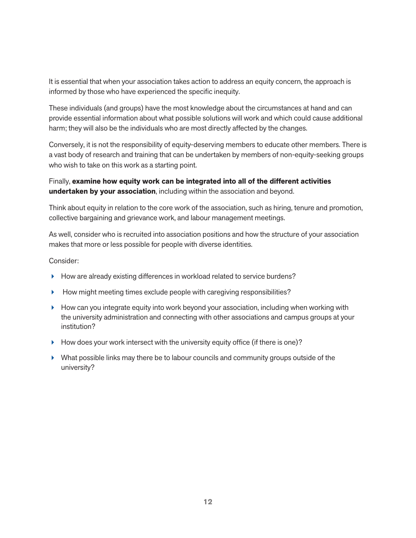It is essential that when your association takes action to address an equity concern, the approach is informed by those who have experienced the specific inequity.

These individuals (and groups) have the most knowledge about the circumstances at hand and can provide essential information about what possible solutions will work and which could cause additional harm; they will also be the individuals who are most directly affected by the changes.

Conversely, it is not the responsibility of equity-deserving members to educate other members. There is a vast body of research and training that can be undertaken by members of non-equity-seeking groups who wish to take on this work as a starting point.

#### Finally, **examine how equity work can be integrated into all of the different activities undertaken by your association**, including within the association and beyond.

Think about equity in relation to the core work of the association, such as hiring, tenure and promotion, collective bargaining and grievance work, and labour management meetings.

As well, consider who is recruited into association positions and how the structure of your association makes that more or less possible for people with diverse identities.

#### Consider:

- How are already existing differences in workload related to service burdens?
- $\blacktriangleright$  How might meeting times exclude people with caregiving responsibilities?
- $\blacktriangleright$  How can you integrate equity into work beyond your association, including when working with the university administration and connecting with other associations and campus groups at your institution?
- $\blacktriangleright$  How does your work intersect with the university equity office (if there is one)?
- What possible links may there be to labour councils and community groups outside of the university?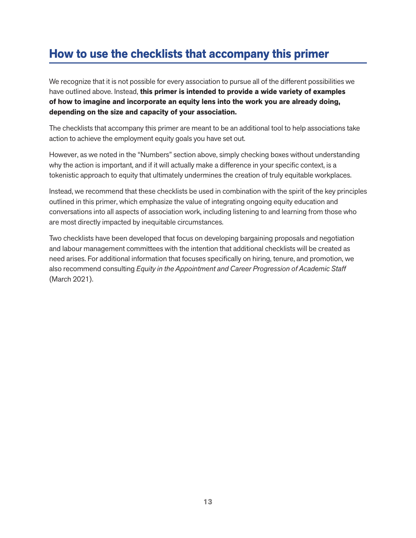## **How to use the checklists that accompany this primer**

We recognize that it is not possible for every association to pursue all of the different possibilities we have outlined above. Instead, **this primer is intended to provide a wide variety of examples of how to imagine and incorporate an equity lens into the work you are already doing, depending on the size and capacity of your association.** 

The checklists that accompany this primer are meant to be an additional tool to help associations take action to achieve the employment equity goals you have set out.

However, as we noted in the "Numbers" section above, simply checking boxes without understanding why the action is important, and if it will actually make a difference in your specific context, is a tokenistic approach to equity that ultimately undermines the creation of truly equitable workplaces.

Instead, we recommend that these checklists be used in combination with the spirit of the key principles outlined in this primer, which emphasize the value of integrating ongoing equity education and conversations into all aspects of association work, including listening to and learning from those who are most directly impacted by inequitable circumstances.

Two checklists have been developed that focus on developing bargaining proposals and negotiation and labour management committees with the intention that additional checklists will be created as need arises. For additional information that focuses specifically on hiring, tenure, and promotion, we also recommend consulting *Equity in the Appointment and Career Progression of Academic Staff* (March 2021).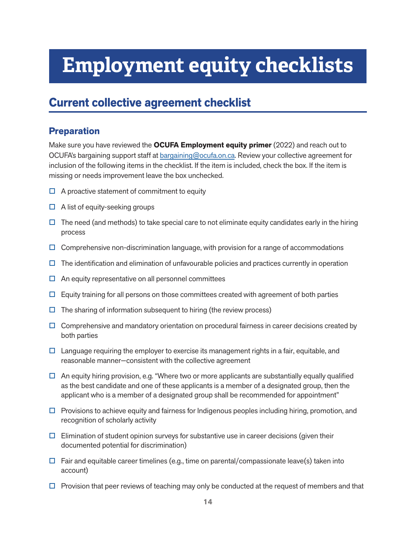## **Employment equity checklists**

## **Current collective agreement checklist**

## **Preparation**

Make sure you have reviewed the **OCUFA Employment equity primer** (2022) and reach out to OCUFA's bargaining support staff at bargaining@ocufa.on.ca. Review your collective agreement for inclusion of the following items in the checklist. If the item is included, check the box. If the item is missing or needs improvement leave the box unchecked.

- $\Box$  A proactive statement of commitment to equity
- $\Box$  A list of equity-seeking groups
- $\Box$  The need (and methods) to take special care to not eliminate equity candidates early in the hiring process
- $\Box$  Comprehensive non-discrimination language, with provision for a range of accommodations
- $\Box$  The identification and elimination of unfavourable policies and practices currently in operation
- $\Box$  An equity representative on all personnel committees
- $\Box$  Equity training for all persons on those committees created with agreement of both parties
- $\Box$  The sharing of information subsequent to hiring (the review process)
- $\Box$  Comprehensive and mandatory orientation on procedural fairness in career decisions created by both parties
- $\Box$  Language requiring the employer to exercise its management rights in a fair, equitable, and reasonable manner—consistent with the collective agreement
- $\Box$  An equity hiring provision, e.g. "Where two or more applicants are substantially equally qualified as the best candidate and one of these applicants is a member of a designated group, then the applicant who is a member of a designated group shall be recommended for appointment"
- $\Box$  Provisions to achieve equity and fairness for Indigenous peoples including hiring, promotion, and recognition of scholarly activity
- $\Box$  Elimination of student opinion surveys for substantive use in career decisions (given their documented potential for discrimination)
- $\Box$  Fair and equitable career timelines (e.g., time on parental/compassionate leave(s) taken into account)
- $\Box$  Provision that peer reviews of teaching may only be conducted at the request of members and that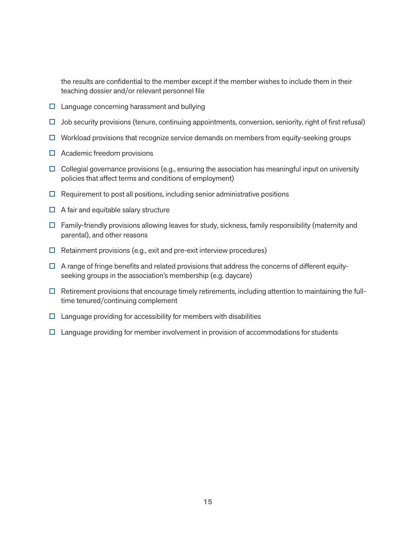the results are confidential to the member except if the member wishes to include them in their teaching dossier and/or relevant personnel file

- $\square$  Language concerning harassment and bullying
- $\Box$  Job security provisions (tenure, continuing appointments, conversion, seniority, right of first refusal)
- $\Box$  Workload provisions that recognize service demands on members from equity-seeking groups
- $\Box$  Academic freedom provisions
- $\Box$  Collegial governance provisions (e.g., ensuring the association has meaningful input on university policies that affect terms and conditions of employment)
- $\Box$  Requirement to post all positions, including senior administrative positions
- $\Box$  A fair and equitable salary structure
- $\Box$  Family-friendly provisions allowing leaves for study, sickness, family responsibility (maternity and parental), and other reasons
- $\Box$  Retainment provisions (e.g., exit and pre-exit interview procedures)
- $\Box$  A range of fringe benefits and related provisions that address the concerns of different equityseeking groups in the association's membership (e.g. daycare)
- $\Box$  Retirement provisions that encourage timely retirements, including attention to maintaining the fulltime tenured/continuing complement
- $\Box$  Language providing for accessibility for members with disabilities
- $\Box$  Language providing for member involvement in provision of accommodations for students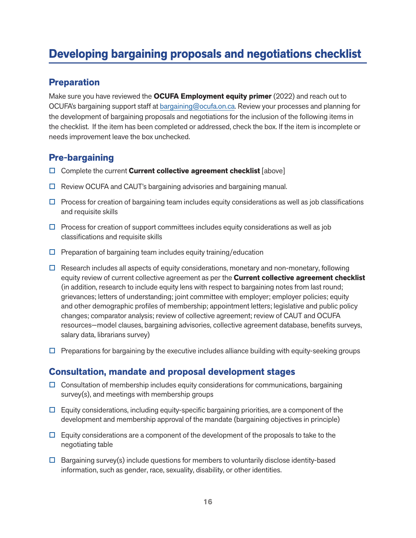## **Developing bargaining proposals and negotiations checklist**

#### **Preparation**

Make sure you have reviewed the **OCUFA Employment equity primer** (2022) and reach out to OCUFA's bargaining support staff at bargaining@ocufa.on.ca. Review your processes and planning for the development of bargaining proposals and negotiations for the inclusion of the following items in the checklist. If the item has been completed or addressed, check the box. If the item is incomplete or needs improvement leave the box unchecked.

## **Pre-bargaining**

- □ Complete the current **Current collective agreement checklist** [above]
- $\Box$  Review OCUFA and CAUT's bargaining advisories and bargaining manual.
- $\Box$  Process for creation of bargaining team includes equity considerations as well as job classifications and requisite skills
- $\Box$  Process for creation of support committees includes equity considerations as well as job classifications and requisite skills
- $\Box$  Preparation of bargaining team includes equity training/education
- $\Box$  Research includes all aspects of equity considerations, monetary and non-monetary, following equity review of current collective agreement as per the **Current collective agreement checklist** (in addition, research to include equity lens with respect to bargaining notes from last round; grievances; letters of understanding; joint committee with employer; employer policies; equity and other demographic profiles of membership; appointment letters; legislative and public policy changes; comparator analysis; review of collective agreement; review of CAUT and OCUFA resources—model clauses, bargaining advisories, collective agreement database, benefits surveys, salary data, librarians survey)
- $\Box$  Preparations for bargaining by the executive includes alliance building with equity-seeking groups

### **Consultation, mandate and proposal development stages**

- $\Box$  Consultation of membership includes equity considerations for communications, bargaining survey(s), and meetings with membership groups
- $\Box$  Equity considerations, including equity-specific bargaining priorities, are a component of the development and membership approval of the mandate (bargaining objectives in principle)
- $\Box$  Equity considerations are a component of the development of the proposals to take to the negotiating table
- $\Box$  Bargaining survey(s) include questions for members to voluntarily disclose identity-based information, such as gender, race, sexuality, disability, or other identities.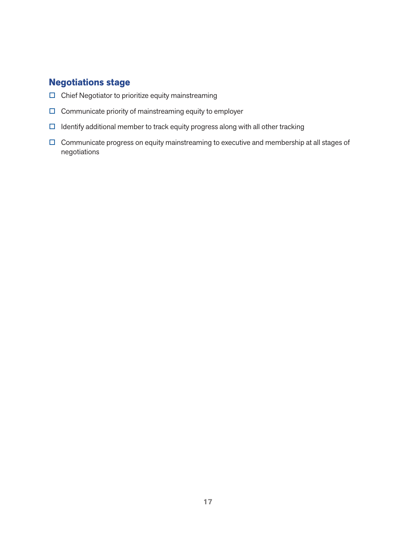## **Negotiations stage**

- $\square$  Chief Negotiator to prioritize equity mainstreaming
- $\square$  Communicate priority of mainstreaming equity to employer
- $\Box$  Identify additional member to track equity progress along with all other tracking
- Communicate progress on equity mainstreaming to executive and membership at all stages of negotiations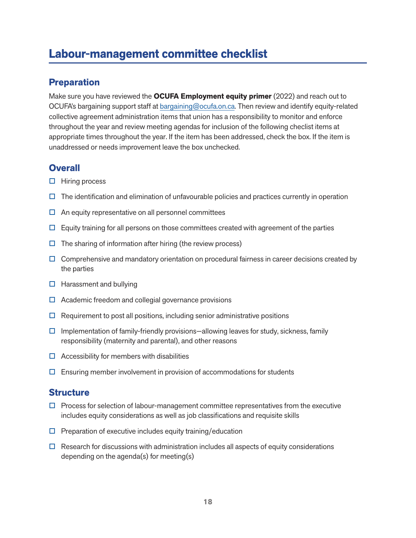## **Labour-management committee checklist**

#### **Preparation**

Make sure you have reviewed the **OCUFA Employment equity primer** (2022) and reach out to OCUFA's bargaining support staff at bargaining@ocufa.on.ca. Then review and identify equity-related collective agreement administration items that union has a responsibility to monitor and enforce throughout the year and review meeting agendas for inclusion of the following checlist items at appropriate times throughout the year. If the item has been addressed, check the box. If the item is unaddressed or needs improvement leave the box unchecked.

## **Overall**

- $\Box$  Hiring process
- $\Box$  The identification and elimination of unfavourable policies and practices currently in operation
- $\Box$  An equity representative on all personnel committees
- $\Box$  Equity training for all persons on those committees created with agreement of the parties
- $\Box$  The sharing of information after hiring (the review process)
- $\Box$  Comprehensive and mandatory orientation on procedural fairness in career decisions created by the parties
- $\Box$  Harassment and bullying
- $\Box$  Academic freedom and collegial governance provisions
- $\Box$  Requirement to post all positions, including senior administrative positions
- $\Box$  Implementation of family-friendly provisions—allowing leaves for study, sickness, family responsibility (maternity and parental), and other reasons
- $\Box$  Accessibility for members with disabilities
- $\Box$  Ensuring member involvement in provision of accommodations for students

#### **Structure**

- $\Box$  Process for selection of labour-management committee representatives from the executive includes equity considerations as well as job classifications and requisite skills
- $\square$  Preparation of executive includes equity training/education
- $\Box$  Research for discussions with administration includes all aspects of equity considerations depending on the agenda(s) for meeting(s)